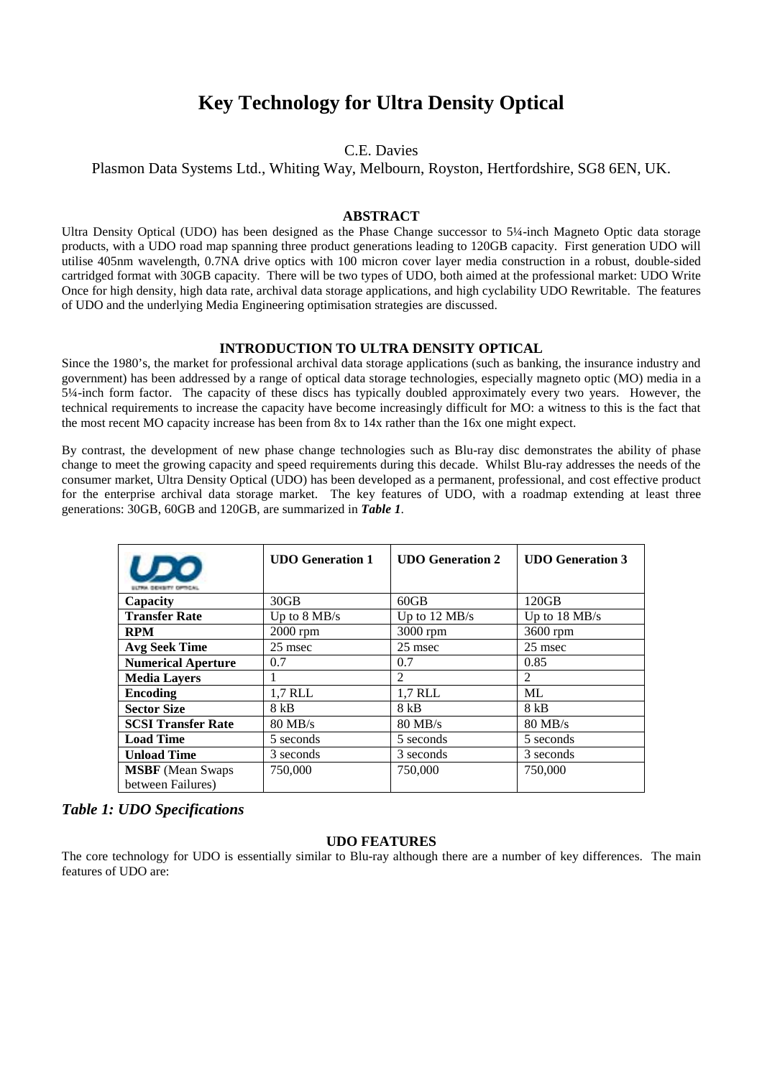# **Key Technology for Ultra Density Optical**

# C.E. Davies

Plasmon Data Systems Ltd., Whiting Way, Melbourn, Royston, Hertfordshire, SG8 6EN, UK.

# **ABSTRACT**

Ultra Density Optical (UDO) has been designed as the Phase Change successor to 5¼-inch Magneto Optic data storage products, with a UDO road map spanning three product generations leading to 120GB capacity. First generation UDO will utilise 405nm wavelength, 0.7NA drive optics with 100 micron cover layer media construction in a robust, double-sided cartridged format with 30GB capacity. There will be two types of UDO, both aimed at the professional market: UDO Write Once for high density, high data rate, archival data storage applications, and high cyclability UDO Rewritable. The features of UDO and the underlying Media Engineering optimisation strategies are discussed.

#### **INTRODUCTION TO ULTRA DENSITY OPTICAL**

Since the 1980's, the market for professional archival data storage applications (such as banking, the insurance industry and government) has been addressed by a range of optical data storage technologies, especially magneto optic (MO) media in a 5¼-inch form factor. The capacity of these discs has typically doubled approximately every two years. However, the technical requirements to increase the capacity have become increasingly difficult for MO: a witness to this is the fact that the most recent MO capacity increase has been from 8x to 14x rather than the 16x one might expect.

By contrast, the development of new phase change technologies such as Blu-ray disc demonstrates the ability of phase change to meet the growing capacity and speed requirements during this decade. Whilst Blu-ray addresses the needs of the consumer market, Ultra Density Optical (UDO) has been developed as a permanent, professional, and cost effective product for the enterprise archival data storage market. The key features of UDO, with a roadmap extending at least three generations: 30GB, 60GB and 120GB, are summarized in *Table 1*.

| UDO                                           | <b>UDO</b> Generation 1 | <b>UDO</b> Generation 2 | <b>UDO</b> Generation 3 |
|-----------------------------------------------|-------------------------|-------------------------|-------------------------|
| Capacity                                      | 30GB                    | $60$ GB                 | 120GB                   |
| <b>Transfer Rate</b>                          | Up to 8 MB/s            | Up to 12 MB/s           | Up to 18 MB/s           |
| <b>RPM</b>                                    | $2000$ rpm              | $3000$ rpm              | 3600 rpm                |
| <b>Avg Seek Time</b>                          | 25 msec                 | 25 msec                 | 25 msec                 |
| <b>Numerical Aperture</b>                     | 0.7                     | 0.7                     | 0.85                    |
| <b>Media Layers</b>                           | 1                       | $\mathfrak{D}$          | $\mathfrak{D}$          |
| Encoding                                      | 1,7 RLL                 | 1,7 RLL                 | ML                      |
| <b>Sector Size</b>                            | 8 kB                    | 8 kB                    | 8 kB                    |
| <b>SCSI Transfer Rate</b>                     | $80 \text{ MB/s}$       | $80 \text{ MB/s}$       | $80$ MB/s               |
| <b>Load Time</b>                              | 5 seconds               | 5 seconds               | 5 seconds               |
| <b>Unload Time</b>                            | 3 seconds               | 3 seconds               | 3 seconds               |
| <b>MSBF</b> (Mean Swaps)<br>between Failures) | 750,000                 | 750,000                 | 750,000                 |

# *Table 1: UDO Specifications*

## **UDO FEATURES**

The core technology for UDO is essentially similar to Blu-ray although there are a number of key differences. The main features of UDO are: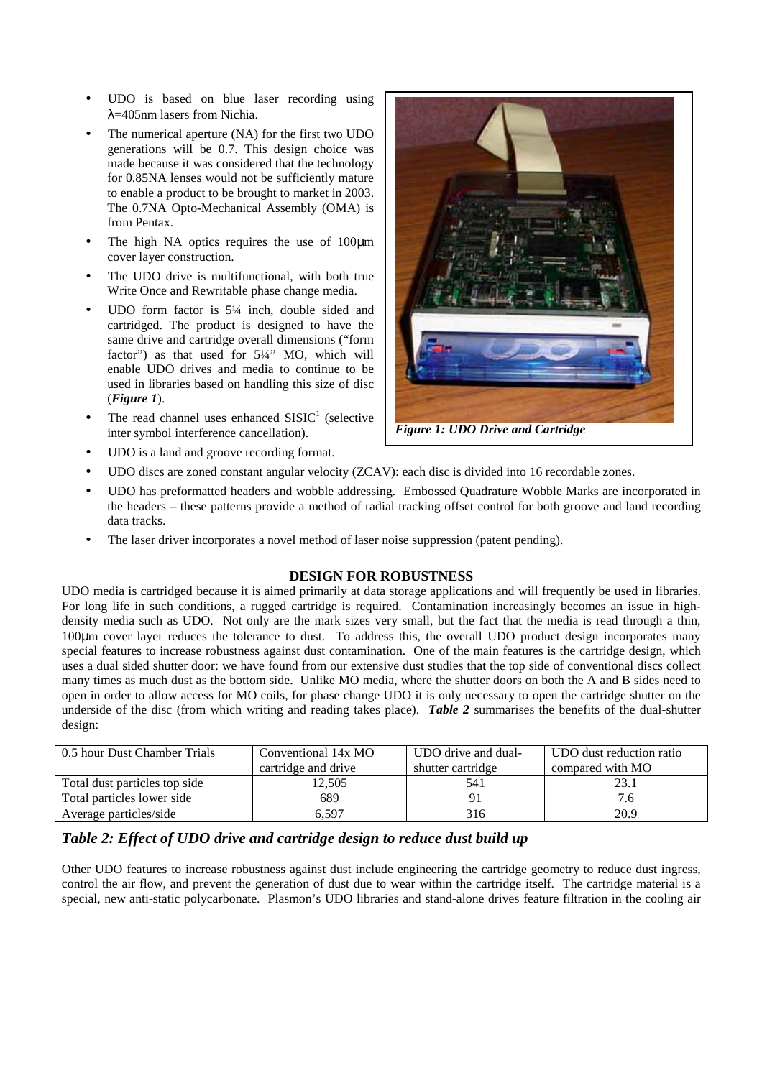- UDO is based on blue laser recording using λ=405nm lasers from Nichia.
- The numerical aperture (NA) for the first two UDO generations will be 0.7. This design choice was made because it was considered that the technology for 0.85NA lenses would not be sufficiently mature to enable a product to be brought to market in 2003. The 0.7NA Opto-Mechanical Assembly (OMA) is from Pentax.
- The high NA optics requires the use of 100 $\mu$ m cover layer construction.
- The UDO drive is multifunctional, with both true Write Once and Rewritable phase change media.
- UDO form factor is  $5\frac{1}{4}$  inch, double sided and cartridged. The product is designed to have the same drive and cartridge overall dimensions ("form factor") as that used for  $5\frac{1}{4}$ " MO, which will enable UDO drives and media to continue to be used in libraries based on handling this size of disc (*Figure 1*).
- The read channel uses enhanced  $SISIC<sup>1</sup>$  (selective inter symbol interference cancellation).



*Figure 1: UDO Drive and Cartridge* 

- UDO is a land and groove recording format.
- UDO discs are zoned constant angular velocity (ZCAV): each disc is divided into 16 recordable zones.
- UDO has preformatted headers and wobble addressing. Embossed Quadrature Wobble Marks are incorporated in the headers – these patterns provide a method of radial tracking offset control for both groove and land recording data tracks.
- The laser driver incorporates a novel method of laser noise suppression (patent pending).

# **DESIGN FOR ROBUSTNESS**

UDO media is cartridged because it is aimed primarily at data storage applications and will frequently be used in libraries. For long life in such conditions, a rugged cartridge is required. Contamination increasingly becomes an issue in highdensity media such as UDO. Not only are the mark sizes very small, but the fact that the media is read through a thin, 100µm cover layer reduces the tolerance to dust. To address this, the overall UDO product design incorporates many special features to increase robustness against dust contamination. One of the main features is the cartridge design, which uses a dual sided shutter door: we have found from our extensive dust studies that the top side of conventional discs collect many times as much dust as the bottom side. Unlike MO media, where the shutter doors on both the A and B sides need to open in order to allow access for MO coils, for phase change UDO it is only necessary to open the cartridge shutter on the underside of the disc (from which writing and reading takes place). *Table 2* summarises the benefits of the dual-shutter design:

| 0.5 hour Dust Chamber Trials  | Conventional 14x MO | UDO drive and dual- | UDO dust reduction ratio |
|-------------------------------|---------------------|---------------------|--------------------------|
|                               | cartridge and drive | shutter cartridge   | compared with MO         |
| Total dust particles top side | 12.505              | 541                 |                          |
| Total particles lower side    | 689                 |                     |                          |
| Average particles/side        | 6.597               | 316                 | 20.9                     |

# *Table 2: Effect of UDO drive and cartridge design to reduce dust build up*

Other UDO features to increase robustness against dust include engineering the cartridge geometry to reduce dust ingress, control the air flow, and prevent the generation of dust due to wear within the cartridge itself. The cartridge material is a special, new anti-static polycarbonate. Plasmon's UDO libraries and stand-alone drives feature filtration in the cooling air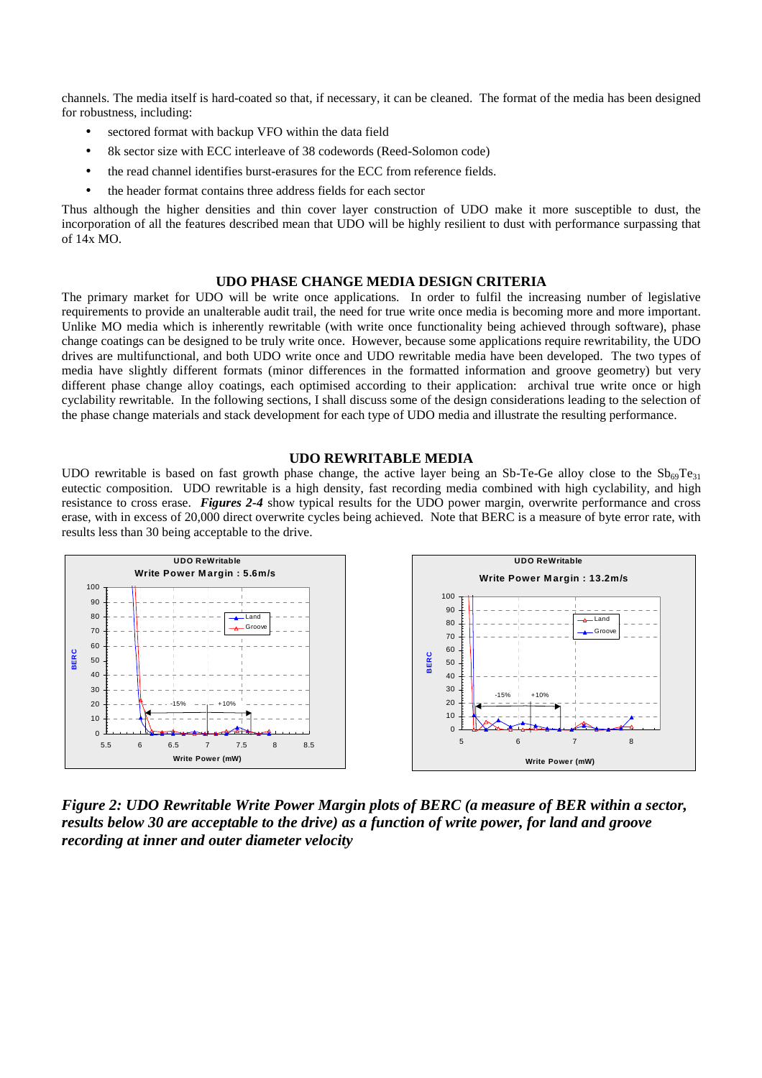channels. The media itself is hard-coated so that, if necessary, it can be cleaned. The format of the media has been designed for robustness, including:

- sectored format with backup VFO within the data field
- 8k sector size with ECC interleave of 38 codewords (Reed-Solomon code)
- the read channel identifies burst-erasures for the ECC from reference fields.
- the header format contains three address fields for each sector

Thus although the higher densities and thin cover layer construction of UDO make it more susceptible to dust, the incorporation of all the features described mean that UDO will be highly resilient to dust with performance surpassing that of 14x MO.

#### **UDO PHASE CHANGE MEDIA DESIGN CRITERIA**

The primary market for UDO will be write once applications. In order to fulfil the increasing number of legislative requirements to provide an unalterable audit trail, the need for true write once media is becoming more and more important. Unlike MO media which is inherently rewritable (with write once functionality being achieved through software), phase change coatings can be designed to be truly write once. However, because some applications require rewritability, the UDO drives are multifunctional, and both UDO write once and UDO rewritable media have been developed. The two types of media have slightly different formats (minor differences in the formatted information and groove geometry) but very different phase change alloy coatings, each optimised according to their application: archival true write once or high cyclability rewritable. In the following sections, I shall discuss some of the design considerations leading to the selection of the phase change materials and stack development for each type of UDO media and illustrate the resulting performance.

#### **UDO REWRITABLE MEDIA**

UDO rewritable is based on fast growth phase change, the active layer being an Sb-Te-Ge alloy close to the  $Sb_{69}Te_{31}$ eutectic composition. UDO rewritable is a high density, fast recording media combined with high cyclability, and high resistance to cross erase. *Figures 2-4* show typical results for the UDO power margin, overwrite performance and cross erase, with in excess of 20,000 direct overwrite cycles being achieved. Note that BERC is a measure of byte error rate, with results less than 30 being acceptable to the drive.



*Figure 2: UDO Rewritable Write Power Margin plots of BERC (a measure of BER within a sector, results below 30 are acceptable to the drive) as a function of write power, for land and groove recording at inner and outer diameter velocity*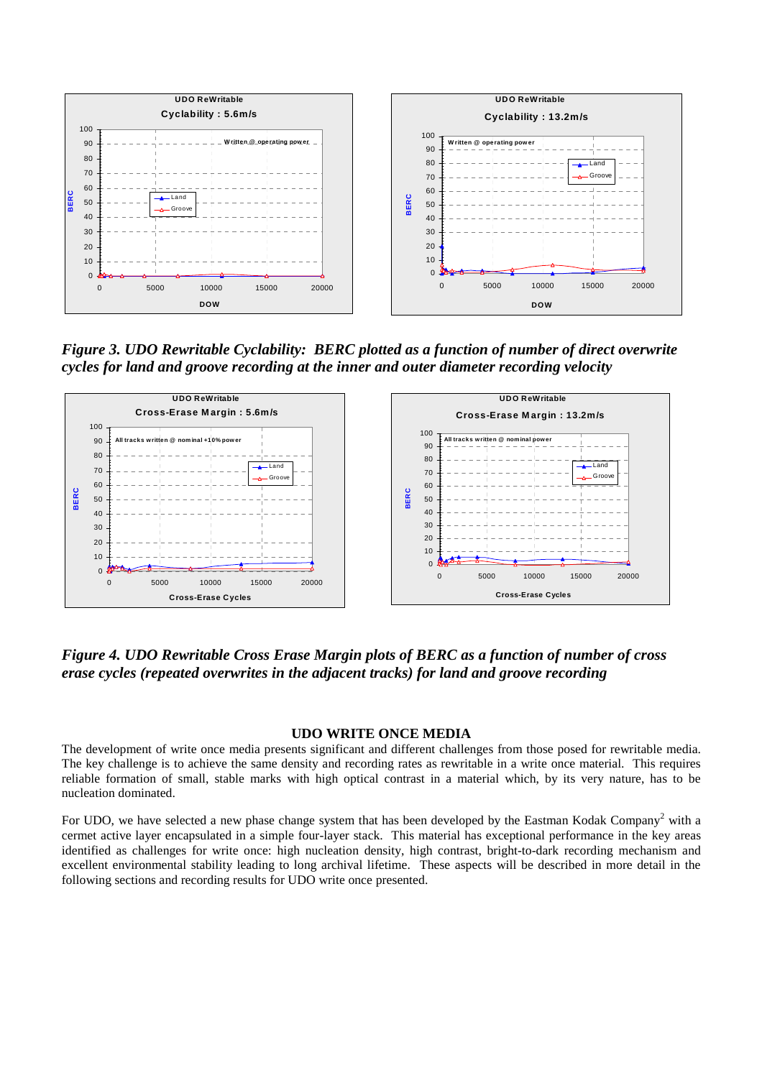

*Figure 3. UDO Rewritable Cyclability: BERC plotted as a function of number of direct overwrite cycles for land and groove recording at the inner and outer diameter recording velocity* 



*Figure 4. UDO Rewritable Cross Erase Margin plots of BERC as a function of number of cross erase cycles (repeated overwrites in the adjacent tracks) for land and groove recording* 

## **UDO WRITE ONCE MEDIA**

The development of write once media presents significant and different challenges from those posed for rewritable media. The key challenge is to achieve the same density and recording rates as rewritable in a write once material. This requires reliable formation of small, stable marks with high optical contrast in a material which, by its very nature, has to be nucleation dominated.

For UDO, we have selected a new phase change system that has been developed by the Eastman Kodak Company<sup>2</sup> with a cermet active layer encapsulated in a simple four-layer stack. This material has exceptional performance in the key areas identified as challenges for write once: high nucleation density, high contrast, bright-to-dark recording mechanism and excellent environmental stability leading to long archival lifetime. These aspects will be described in more detail in the following sections and recording results for UDO write once presented.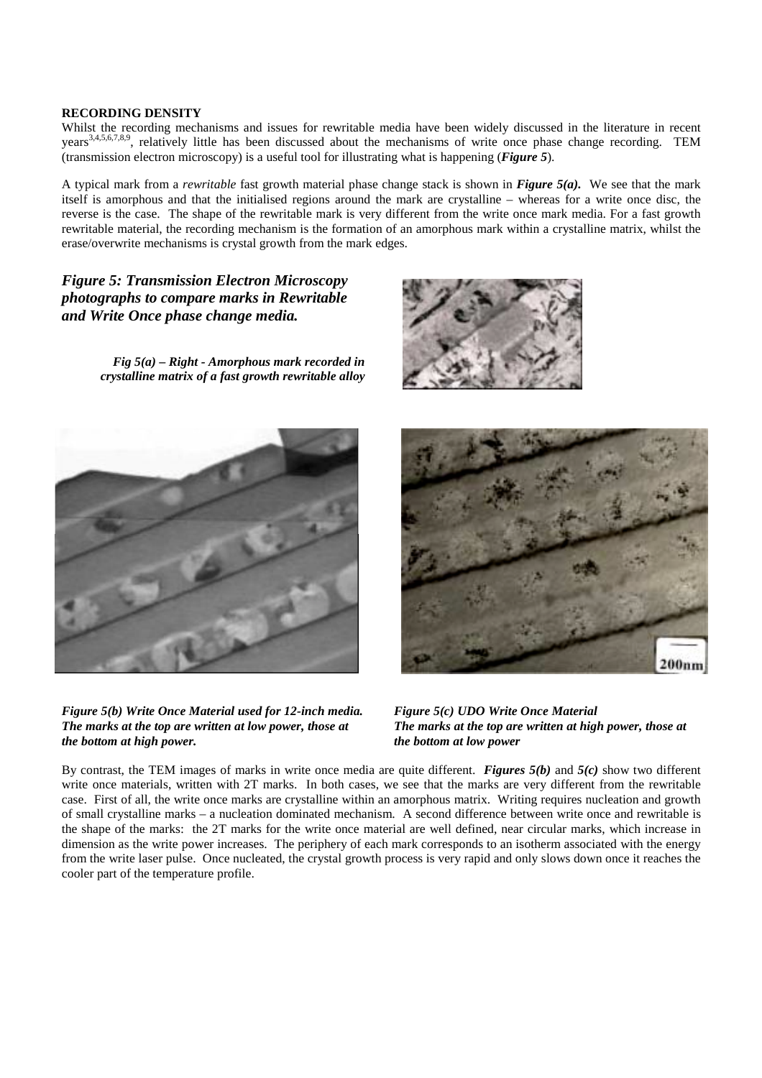#### **RECORDING DENSITY**

Whilst the recording mechanisms and issues for rewritable media have been widely discussed in the literature in recent years<sup>3,4,5,6,7,8,9</sup>, relatively little has been discussed about the mechanisms of write once phase change recording. TEM (transmission electron microscopy) is a useful tool for illustrating what is happening (*Figure 5*).

A typical mark from a *rewritable* fast growth material phase change stack is shown in *Figure 5(a).* We see that the mark itself is amorphous and that the initialised regions around the mark are crystalline – whereas for a write once disc, the reverse is the case. The shape of the rewritable mark is very different from the write once mark media. For a fast growth rewritable material, the recording mechanism is the formation of an amorphous mark within a crystalline matrix, whilst the erase/overwrite mechanisms is crystal growth from the mark edges.

*Figure 5: Transmission Electron Microscopy photographs to compare marks in Rewritable and Write Once phase change media.* 

> *Fig 5(a) – Right - Amorphous mark recorded in crystalline matrix of a fast growth rewritable alloy*





*Figure 5(b) Write Once Material used for 12-inch media. The marks at the top are written at low power, those at the bottom at high power.*



*Figure 5(c) UDO Write Once Material The marks at the top are written at high power, those at the bottom at low power*

By contrast, the TEM images of marks in write once media are quite different. *Figures 5(b)* and *5(c)* show two different write once materials, written with 2T marks. In both cases, we see that the marks are very different from the rewritable case. First of all, the write once marks are crystalline within an amorphous matrix. Writing requires nucleation and growth of small crystalline marks – a nucleation dominated mechanism. A second difference between write once and rewritable is the shape of the marks: the 2T marks for the write once material are well defined, near circular marks, which increase in dimension as the write power increases. The periphery of each mark corresponds to an isotherm associated with the energy from the write laser pulse. Once nucleated, the crystal growth process is very rapid and only slows down once it reaches the cooler part of the temperature profile.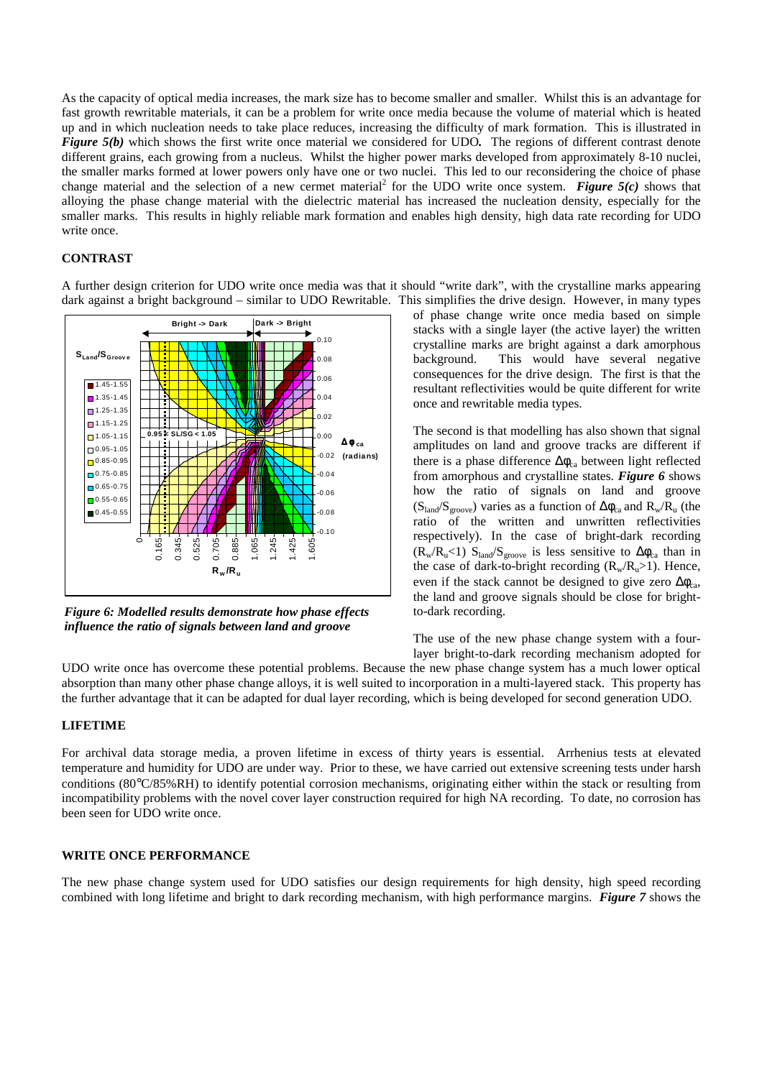As the capacity of optical media increases, the mark size has to become smaller and smaller. Whilst this is an advantage for fast growth rewritable materials, it can be a problem for write once media because the volume of material which is heated up and in which nucleation needs to take place reduces, increasing the difficulty of mark formation. This is illustrated in *Figure 5(b)* which shows the first write once material we considered for UDO. The regions of different contrast denote different grains, each growing from a nucleus. Whilst the higher power marks developed from approximately 8-10 nuclei, the smaller marks formed at lower powers only have one or two nuclei. This led to our reconsidering the choice of phase change material and the selection of a new cermet material<sup>2</sup> for the UDO write once system. *Figure*  $5(c)$  shows that alloying the phase change material with the dielectric material has increased the nucleation density, especially for the smaller marks. This results in highly reliable mark formation and enables high density, high data rate recording for UDO write once.

## **CONTRAST**

A further design criterion for UDO write once media was that it should "write dark", with the crystalline marks appearing dark against a bright background – similar to UDO Rewritable. This simplifies the drive design. However, in many types



*Figure 6: Modelled results demonstrate how phase effects influence the ratio of signals between land and groove* 

of phase change write once media based on simple stacks with a single layer (the active layer) the written crystalline marks are bright against a dark amorphous background. This would have several negative consequences for the drive design. The first is that the resultant reflectivities would be quite different for write once and rewritable media types.

The second is that modelling has also shown that signal amplitudes on land and groove tracks are different if there is a phase difference  $\Delta\phi_{ca}$  between light reflected from amorphous and crystalline states. *Figure 6* shows how the ratio of signals on land and groove  $(S<sub>land</sub>/S<sub>groove</sub>)$  varies as a function of  $\Delta\phi_{ca}$  and  $R_w/R_u$  (the ratio of the written and unwritten reflectivities respectively). In the case of bright-dark recording  $(R_w/R_u<1)$  S<sub>land</sub>/S<sub>groove</sub> is less sensitive to  $\Delta\phi_{ca}$  than in the case of dark-to-bright recording  $(R_w/R_u>1)$ . Hence, even if the stack cannot be designed to give zero  $\Delta \phi_{ca}$ , the land and groove signals should be close for brightto-dark recording.

The use of the new phase change system with a fourlayer bright-to-dark recording mechanism adopted for

UDO write once has overcome these potential problems. Because the new phase change system has a much lower optical absorption than many other phase change alloys, it is well suited to incorporation in a multi-layered stack. This property has the further advantage that it can be adapted for dual layer recording, which is being developed for second generation UDO.

## **LIFETIME**

For archival data storage media, a proven lifetime in excess of thirty years is essential. Arrhenius tests at elevated temperature and humidity for UDO are under way. Prior to these, we have carried out extensive screening tests under harsh conditions (80°C/85%RH) to identify potential corrosion mechanisms, originating either within the stack or resulting from incompatibility problems with the novel cover layer construction required for high NA recording. To date, no corrosion has been seen for UDO write once.

#### **WRITE ONCE PERFORMANCE**

The new phase change system used for UDO satisfies our design requirements for high density, high speed recording combined with long lifetime and bright to dark recording mechanism, with high performance margins. *Figure 7* shows the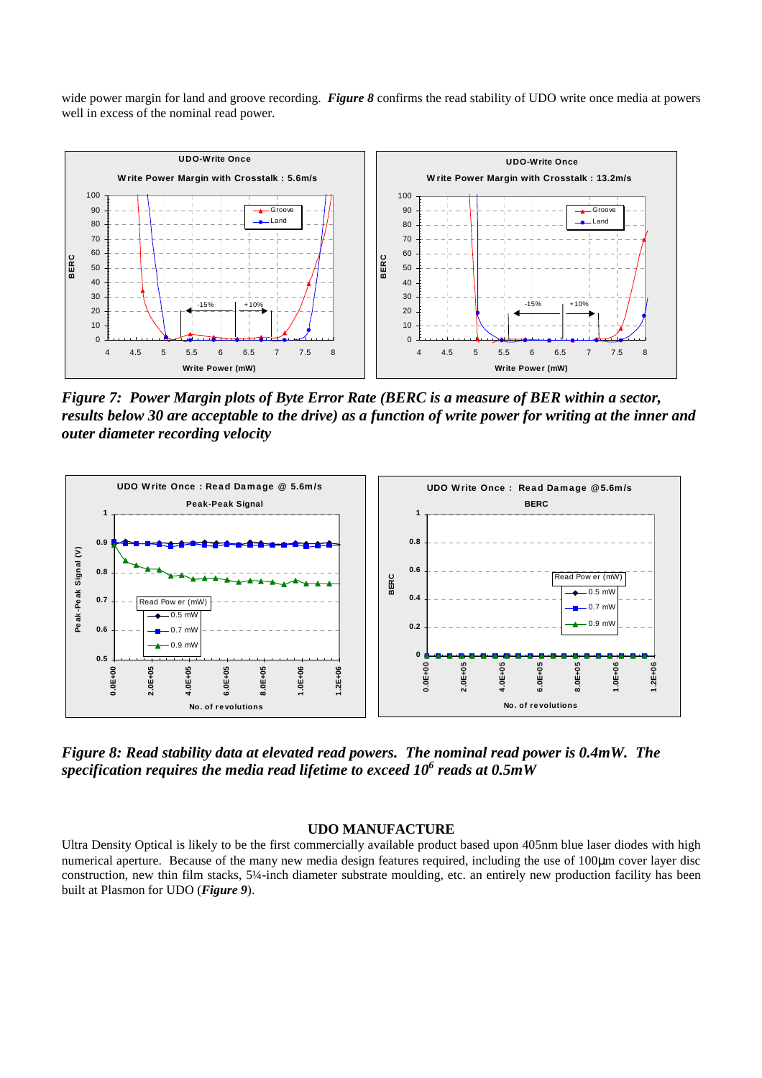wide power margin for land and groove recording. *Figure 8* confirms the read stability of UDO write once media at powers well in excess of the nominal read power.



*Figure 7: Power Margin plots of Byte Error Rate (BERC is a measure of BER within a sector, results below 30 are acceptable to the drive) as a function of write power for writing at the inner and outer diameter recording velocity* 



*Figure 8: Read stability data at elevated read powers. The nominal read power is 0.4mW. The specification requires the media read lifetime to exceed 106 reads at 0.5mW* 

#### **UDO MANUFACTURE**

Ultra Density Optical is likely to be the first commercially available product based upon 405nm blue laser diodes with high numerical aperture. Because of the many new media design features required, including the use of 100µm cover layer disc construction, new thin film stacks, 5¼-inch diameter substrate moulding, etc. an entirely new production facility has been built at Plasmon for UDO (*Figure 9*).